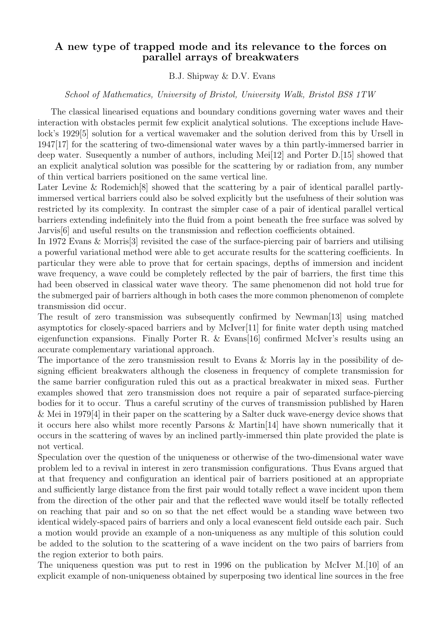## A new type of trapped mode and its relevance to the forces on parallel arrays of breakwaters

B.J. Shipway & D.V. Evans

School of Mathematics, University of Bristol, University Walk, Bristol BS8 1TW

The classical linearised equations and boundary conditions governing water waves and their interaction with obstacles permit few explicit analytical solutions. The exceptions include Havelock's 1929[5] solution for a vertical wavemaker and the solution derived from this by Ursell in 1947[17] for the scattering of two-dimensional water waves by a thin partly-immersed barrier in deep water. Susequently a number of authors, including Mei[12] and Porter D.[15] showed that an explicit analytical solution was possible for the scattering by or radiation from, any number of thin vertical barriers positioned on the same vertical line.

Later Levine & Rodemich<sup>[8]</sup> showed that the scattering by a pair of identical parallel partlyimmersed vertical barriers could also be solved explicitly but the usefulness of their solution was restricted by its complexity. In contrast the simpler case of a pair of identical parallel vertical barriers extending indefinitely into the fluid from a point beneath the free surface was solved by Jarvis[6] and useful results on the transmission and reflection coefficients obtained.

In 1972 Evans & Morris[3] revisited the case of the surface-piercing pair of barriers and utilising a powerful variational method were able to get accurate results for the scattering coefficients. In particular they were able to prove that for certain spacings, depths of immersion and incident wave frequency, a wave could be completely reflected by the pair of barriers, the first time this had been observed in classical water wave theory. The same phenomenon did not hold true for the submerged pair of barriers although in both cases the more common phenomenon of complete transmission did occur.

The result of zero transmission was subsequently confirmed by Newman[13] using matched asymptotics for closely-spaced barriers and by McIver[11] for finite water depth using matched eigenfunction expansions. Finally Porter R. & Evans[16] confirmed McIver's results using an accurate complementary variational approach.

The importance of the zero transmission result to Evans & Morris lay in the possibility of designing efficient breakwaters although the closeness in frequency of complete transmission for the same barrier configuration ruled this out as a practical breakwater in mixed seas. Further examples showed that zero transmission does not require a pair of separated surface-piercing bodies for it to occur. Thus a careful scrutiny of the curves of transmission published by Haren & Mei in 1979[4] in their paper on the scattering by a Salter duck wave-energy device shows that it occurs here also whilst more recently Parsons & Martin[14] have shown numerically that it occurs in the scattering of waves by an inclined partly-immersed thin plate provided the plate is not vertical.

Speculation over the question of the uniqueness or otherwise of the two-dimensional water wave problem led to a revival in interest in zero transmission configurations. Thus Evans argued that at that frequency and configuration an identical pair of barriers positioned at an appropriate and sufficiently large distance from the first pair would totally reflect a wave incident upon them from the direction of the other pair and that the reflected wave would itself be totally reflected on reaching that pair and so on so that the net effect would be a standing wave between two identical widely-spaced pairs of barriers and only a local evanescent field outside each pair. Such a motion would provide an example of a non-uniqueness as any multiple of this solution could be added to the solution to the scattering of a wave incident on the two pairs of barriers from the region exterior to both pairs.

The uniqueness question was put to rest in 1996 on the publication by McIver M.[10] of an explicit example of non-uniqueness obtained by superposing two identical line sources in the free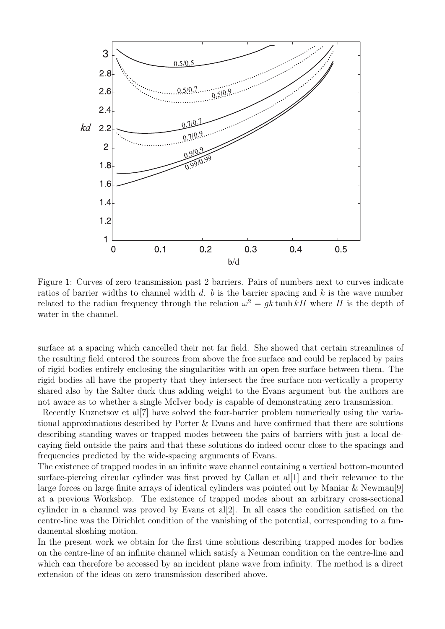

Figure 1: Curves of zero transmission past 2 barriers. Pairs of numbers next to curves indicate ratios of barrier widths to channel width d, b is the barrier spacing and k is the wave number related to the radian frequency through the relation  $\omega^2 = g k \tanh kH$  where H is the depth of water in the channel.

surface at a spacing which cancelled their net far field. She showed that certain streamlines of the resulting field entered the sources from above the free surface and could be replaced by pairs of rigid bodies entirely enclosing the singularities with an open free surface between them. The rigid bodies all have the property that they intersect the free surface non-vertically a property shared also by the Salter duck thus adding weight to the Evans argument but the authors are not aware as to whether a single McIver body is capable of demonstrating zero transmission.

Recently Kuznetsov et al[7] have solved the four-barrier problem numerically using the variational approximations described by Porter & Evans and have confirmed that there are solutions describing standing waves or trapped modes between the pairs of barriers with just a local decaying field outside the pairs and that these solutions do indeed occur close to the spacings and frequencies predicted by the wide-spacing arguments of Evans.

The existence of trapped modes in an infinite wave channel containing a vertical bottom-mounted surface-piercing circular cylinder was first proved by Callan et al<sup>[1]</sup> and their relevance to the large forces on large finite arrays of identical cylinders was pointed out by Maniar & Newman[9] at a previous Workshop. The existence of trapped modes about an arbitrary cross-sectional cylinder in a channel was proved by Evans et al[2]. In all cases the condition satisfied on the centre-line was the Dirichlet condition of the vanishing of the potential, corresponding to a fundamental sloshing motion.

In the present work we obtain for the first time solutions describing trapped modes for bodies on the centre-line of an infinite channel which satisfy a Neuman condition on the centre-line and which can therefore be accessed by an incident plane wave from infinity. The method is a direct extension of the ideas on zero transmission described above.